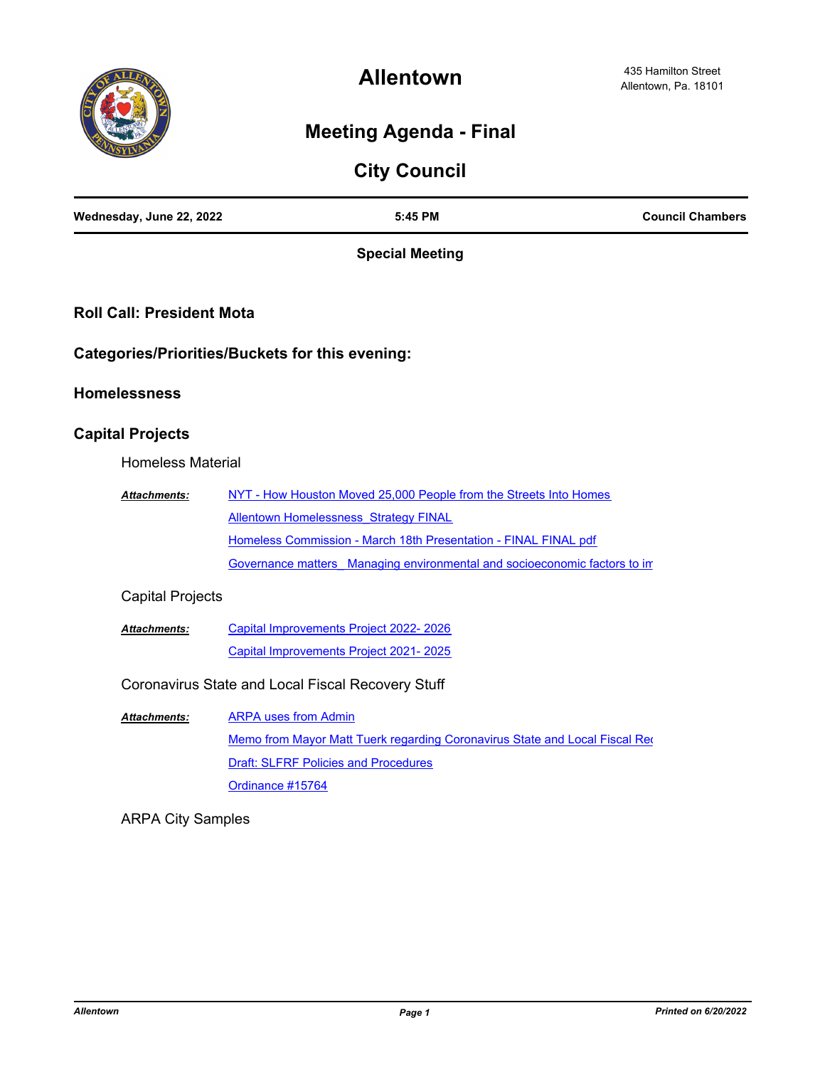

**Allentown**

## **Meeting Agenda - Final**

| Wednesday, June 22, 2022         | 5:45 PM                                                                     | <b>Council Chambers</b> |
|----------------------------------|-----------------------------------------------------------------------------|-------------------------|
|                                  | <b>Special Meeting</b>                                                      |                         |
| <b>Roll Call: President Mota</b> |                                                                             |                         |
|                                  | <b>Categories/Priorities/Buckets for this evening:</b>                      |                         |
| <b>Homelessness</b>              |                                                                             |                         |
| <b>Capital Projects</b>          |                                                                             |                         |
| <b>Homeless Material</b>         |                                                                             |                         |
| Attachments:                     | NYT - How Houston Moved 25,000 People from the Streets Into Homes           |                         |
|                                  | <b>Allentown Homelessness Strategy FINAL</b>                                |                         |
|                                  | Homeless Commission - March 18th Presentation - FINAL FINAL pdf             |                         |
|                                  | Governance matters Managing environmental and socioeconomic factors to in   |                         |
| <b>Capital Projects</b>          |                                                                             |                         |
| Attachments:                     | Capital Improvements Project 2022-2026                                      |                         |
|                                  | Capital Improvements Project 2021-2025                                      |                         |
|                                  | Coronavirus State and Local Fiscal Recovery Stuff                           |                         |
| <b>Attachments:</b>              | <b>ARPA uses from Admin</b>                                                 |                         |
|                                  | Memo from Mayor Matt Tuerk regarding Coronavirus State and Local Fiscal Req |                         |
|                                  | <b>Draft: SLFRF Policies and Procedures</b>                                 |                         |
|                                  | Ordinance #15764                                                            |                         |